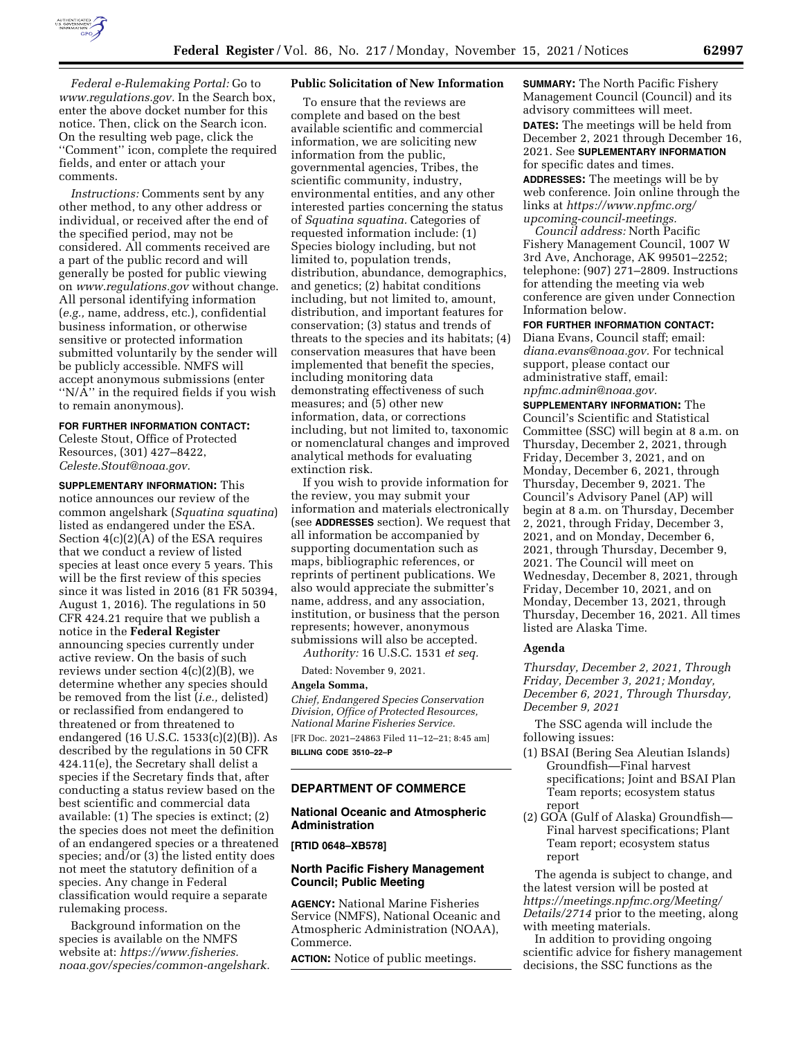

*Federal e-Rulemaking Portal:* Go to *[www.regulations.gov.](http://www.regulations.gov)* In the Search box, enter the above docket number for this notice. Then, click on the Search icon. On the resulting web page, click the ''Comment'' icon, complete the required fields, and enter or attach your comments.

*Instructions:* Comments sent by any other method, to any other address or individual, or received after the end of the specified period, may not be considered. All comments received are a part of the public record and will generally be posted for public viewing on *[www.regulations.gov](http://www.regulations.gov)* without change. All personal identifying information (*e.g.,* name, address, etc.), confidential business information, or otherwise sensitive or protected information submitted voluntarily by the sender will be publicly accessible. NMFS will accept anonymous submissions (enter "N/A" in the required fields if you wish to remain anonymous).

## **FOR FURTHER INFORMATION CONTACT:**

Celeste Stout, Office of Protected Resources, (301) 427–8422, *[Celeste.Stout@noaa.gov.](mailto:Celeste.Stout@noaa.gov)* 

**SUPPLEMENTARY INFORMATION:** This notice announces our review of the common angelshark (*Squatina squatina*) listed as endangered under the ESA. Section 4(c)(2)(A) of the ESA requires that we conduct a review of listed species at least once every 5 years. This will be the first review of this species since it was listed in 2016 (81 FR 50394, August 1, 2016). The regulations in 50 CFR 424.21 require that we publish a notice in the **Federal Register**  announcing species currently under active review. On the basis of such reviews under section  $4(c)(2)(B)$ , we determine whether any species should be removed from the list (*i.e.,* delisted) or reclassified from endangered to threatened or from threatened to endangered (16 U.S.C. 1533(c)(2)(B)). As described by the regulations in 50 CFR 424.11(e), the Secretary shall delist a species if the Secretary finds that, after conducting a status review based on the best scientific and commercial data available: (1) The species is extinct; (2) the species does not meet the definition of an endangered species or a threatened species; and/or (3) the listed entity does not meet the statutory definition of a species. Any change in Federal classification would require a separate rulemaking process.

Background information on the species is available on the NMFS website at: *[https://www.fisheries.](https://www.fisheries.noaa.gov/species/common-angelshark) [noaa.gov/species/common-angelshark.](https://www.fisheries.noaa.gov/species/common-angelshark)* 

## **Public Solicitation of New Information**

To ensure that the reviews are complete and based on the best available scientific and commercial information, we are soliciting new information from the public, governmental agencies, Tribes, the scientific community, industry, environmental entities, and any other interested parties concerning the status of *Squatina squatina.* Categories of requested information include: (1) Species biology including, but not limited to, population trends, distribution, abundance, demographics, and genetics; (2) habitat conditions including, but not limited to, amount, distribution, and important features for conservation; (3) status and trends of threats to the species and its habitats; (4) conservation measures that have been implemented that benefit the species, including monitoring data demonstrating effectiveness of such measures; and (5) other new information, data, or corrections including, but not limited to, taxonomic or nomenclatural changes and improved analytical methods for evaluating extinction risk.

If you wish to provide information for the review, you may submit your information and materials electronically (see **ADDRESSES** section). We request that all information be accompanied by supporting documentation such as maps, bibliographic references, or reprints of pertinent publications. We also would appreciate the submitter's name, address, and any association, institution, or business that the person represents; however, anonymous submissions will also be accepted.

*Authority:* 16 U.S.C. 1531 *et seq.* 

Dated: November 9, 2021.

#### **Angela Somma,**

*Chief, Endangered Species Conservation Division, Office of Protected Resources, National Marine Fisheries Service.*  [FR Doc. 2021–24863 Filed 11–12–21; 8:45 am] **BILLING CODE 3510–22–P** 

#### **DEPARTMENT OF COMMERCE**

## **National Oceanic and Atmospheric Administration**

**[RTID 0648–XB578]** 

## **North Pacific Fishery Management Council; Public Meeting**

**AGENCY:** National Marine Fisheries Service (NMFS), National Oceanic and Atmospheric Administration (NOAA), Commerce.

**ACTION:** Notice of public meetings.

**SUMMARY:** The North Pacific Fishery Management Council (Council) and its advisory committees will meet. **DATES:** The meetings will be held from December 2, 2021 through December 16, 2021. See **SUPLEMENTARY INFORMATION** for specific dates and times.

**ADDRESSES:** The meetings will be by web conference. Join online through the links at *[https://www.npfmc.org/](https://www.npfmc.org/upcoming-council-meetings)  [upcoming-council-meetings.](https://www.npfmc.org/upcoming-council-meetings)* 

*Council address:* North Pacific Fishery Management Council, 1007 W 3rd Ave, Anchorage, AK 99501–2252; telephone: (907) 271–2809. Instructions for attending the meeting via web conference are given under Connection Information below.

#### **FOR FURTHER INFORMATION CONTACT:**

Diana Evans, Council staff; email: *[diana.evans@noaa.gov.](mailto:diana.evans@noaa.gov)* For technical support, please contact our administrative staff, email: *[npfmc.admin@noaa.gov.](mailto:npfmc.admin@noaa.gov)* 

**SUPPLEMENTARY INFORMATION:** The Council's Scientific and Statistical Committee (SSC) will begin at 8 a.m. on Thursday, December 2, 2021, through Friday, December 3, 2021, and on Monday, December 6, 2021, through Thursday, December 9, 2021. The Council's Advisory Panel (AP) will begin at 8 a.m. on Thursday, December 2, 2021, through Friday, December 3, 2021, and on Monday, December 6, 2021, through Thursday, December 9, 2021. The Council will meet on Wednesday, December 8, 2021, through Friday, December 10, 2021, and on Monday, December 13, 2021, through Thursday, December 16, 2021. All times listed are Alaska Time.

# **Agenda**

*Thursday, December 2, 2021, Through Friday, December 3, 2021; Monday, December 6, 2021, Through Thursday, December 9, 2021* 

The SSC agenda will include the following issues:

- (1) BSAI (Bering Sea Aleutian Islands) Groundfish—Final harvest specifications; Joint and BSAI Plan Team reports; ecosystem status report
- (2) GOA (Gulf of Alaska) Groundfish— Final harvest specifications; Plant Team report; ecosystem status report

The agenda is subject to change, and the latest version will be posted at *[https://meetings.npfmc.org/Meeting/](https://meetings.npfmc.org/Meeting/Details/2714)  [Details/2714](https://meetings.npfmc.org/Meeting/Details/2714)* prior to the meeting, along with meeting materials.

In addition to providing ongoing scientific advice for fishery management decisions, the SSC functions as the